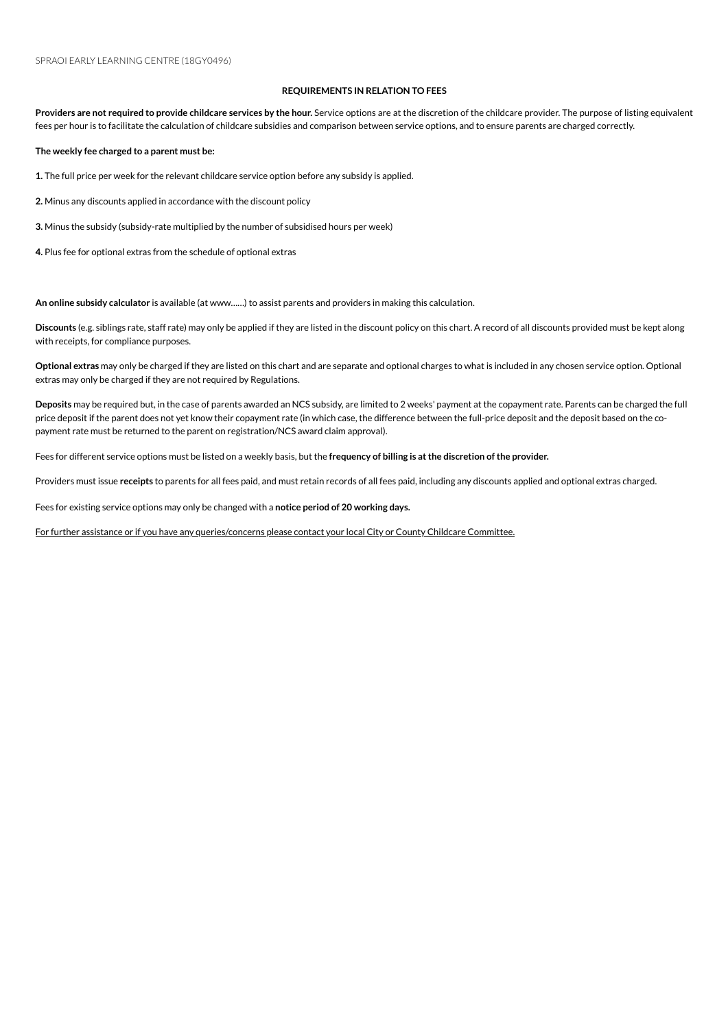## **REQUIREMENTS IN RELATION TO FEES**

Providers are not required to provide childcare services by the hour. Service options are at the discretion of the childcare provider. The purpose of listing equivalent fees per hour is to facilitate the calculation of childcare subsidies and comparison between service options, and to ensure parents are charged correctly.

**The weekly fee charged to a parent must be:**

1. The full price per week for the relevant childcare service option before any subsidy is applied.

2. Minus any discounts applied in accordance with the discount policy

**3.** Minus the subsidy (subsidy-rate multiplied by the number of subsidised hours per week)

4. Plus fee for optional extras from the schedule of optional extras

An online subsidy calculator is available (at www......) to assist parents and providers in making this calculation.

**Discounts** (e.g. siblings rate, staff rate) mayonly be applied if they are listed inthe discount policyonthis chart. A record of all discounts provided must be kept along with receipts, for compliance purposes.

**Optional extras** mayonly be charged if they are listed onthis chart and are separate and optional charges to what is included inany chosenserviceoption. Optional extras may only be charged if they are not required by Regulations.

Deposits may be required but, in the case of parents awarded an NCS subsidy, are limited to 2 weeks' payment at the copayment rate. Parents can be charged the full price deposit if the parent does not yet know their copayment rate (in which case, the difference between the full-price deposit and the deposit based on the copayment rate must be returned to the parent on registration/NCS award claim approval).

Fees for different serviceoptions must be listed ona weekly basis, but the **frequency of billing is atthe discretion ofthe provider.**

Providers must issue receipts to parents for all fees paid, and must retain records of all fees paid, including any discounts applied and optional extras charged.

Fees for existing service options may only be changed with a notice period of 20 working days.

For further assistance or if you have any queries/concerns please contact your local City or County Childcare Committee.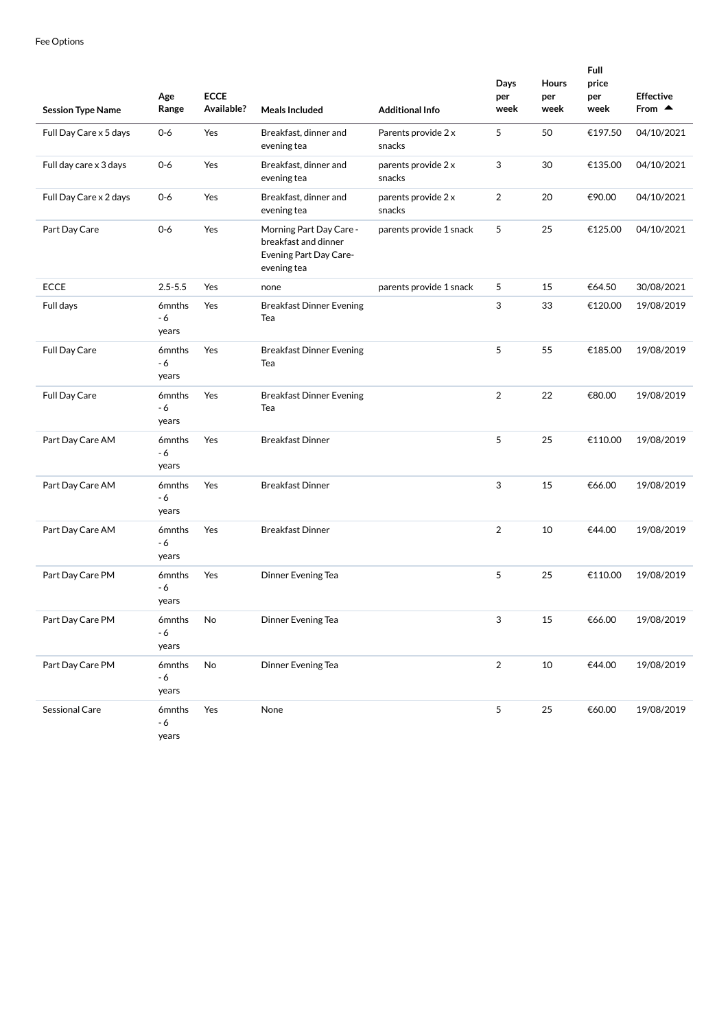| <b>Session Type Name</b> | Age<br>Range                       | <b>ECCE</b><br>Available? | <b>Meals Included</b>                                                                    | <b>Additional Info</b>        | Days<br>per<br>week | Hours<br>per<br>week | Full<br>price<br>per<br>week | <b>Effective</b><br>From $\triangle$ |
|--------------------------|------------------------------------|---------------------------|------------------------------------------------------------------------------------------|-------------------------------|---------------------|----------------------|------------------------------|--------------------------------------|
| Full Day Care x 5 days   | $0-6$                              | Yes                       | Breakfast, dinner and<br>evening tea                                                     | Parents provide 2 x<br>snacks | 5                   | 50                   | €197.50                      | 04/10/2021                           |
| Full day care x 3 days   | $0-6$                              | Yes                       | Breakfast, dinner and<br>evening tea                                                     | parents provide 2 x<br>snacks | 3                   | 30                   | €135.00                      | 04/10/2021                           |
| Full Day Care x 2 days   | $0-6$                              | Yes                       | Breakfast, dinner and<br>evening tea                                                     | parents provide 2 x<br>snacks | 2                   | 20                   | €90.00                       | 04/10/2021                           |
| Part Day Care            | $0-6$                              | Yes                       | Morning Part Day Care -<br>breakfast and dinner<br>Evening Part Day Care-<br>evening tea | parents provide 1 snack       | 5                   | 25                   | €125.00                      | 04/10/2021                           |
| <b>ECCE</b>              | $2.5 - 5.5$                        | Yes                       | none                                                                                     | parents provide 1 snack       | 5                   | 15                   | €64.50                       | 30/08/2021                           |
| Full days                | 6 <sub>mnths</sub><br>- 6<br>years | Yes                       | <b>Breakfast Dinner Evening</b><br>Tea                                                   |                               | 3                   | 33                   | €120.00                      | 19/08/2019                           |
| Full Day Care            | 6mnths<br>- 6<br>years             | Yes                       | <b>Breakfast Dinner Evening</b><br>Tea                                                   |                               | 5                   | 55                   | €185.00                      | 19/08/2019                           |
| Full Day Care            | 6mnths<br>- 6<br>years             | Yes                       | <b>Breakfast Dinner Evening</b><br>Tea                                                   |                               | 2                   | 22                   | €80.00                       | 19/08/2019                           |
| Part Day Care AM         | 6mnths<br>- 6<br>years             | Yes                       | <b>Breakfast Dinner</b>                                                                  |                               | 5                   | 25                   | €110.00                      | 19/08/2019                           |
| Part Day Care AM         | 6mnths<br>- 6<br>years             | Yes                       | <b>Breakfast Dinner</b>                                                                  |                               | 3                   | 15                   | €66.00                       | 19/08/2019                           |
| Part Day Care AM         | 6mnths<br>- 6<br>years             | Yes                       | <b>Breakfast Dinner</b>                                                                  |                               | 2                   | 10                   | €44.00                       | 19/08/2019                           |
| Part Day Care PM         | 6mnths<br>- 6<br>years             | Yes                       | Dinner Evening Tea                                                                       |                               | 5                   | 25                   | €110.00                      | 19/08/2019                           |
| Part Day Care PM         | 6mnths<br>- 6<br>years             | No                        | Dinner Evening Tea                                                                       |                               | 3                   | 15                   | €66.00                       | 19/08/2019                           |
| Part Day Care PM         | 6mnths<br>$-6$<br>years            | No                        | Dinner Evening Tea                                                                       |                               | $\overline{2}$      | 10                   | €44.00                       | 19/08/2019                           |
| Sessional Care           | 6mnths<br>- 6<br>years             | Yes                       | None                                                                                     |                               | 5                   | 25                   | €60.00                       | 19/08/2019                           |